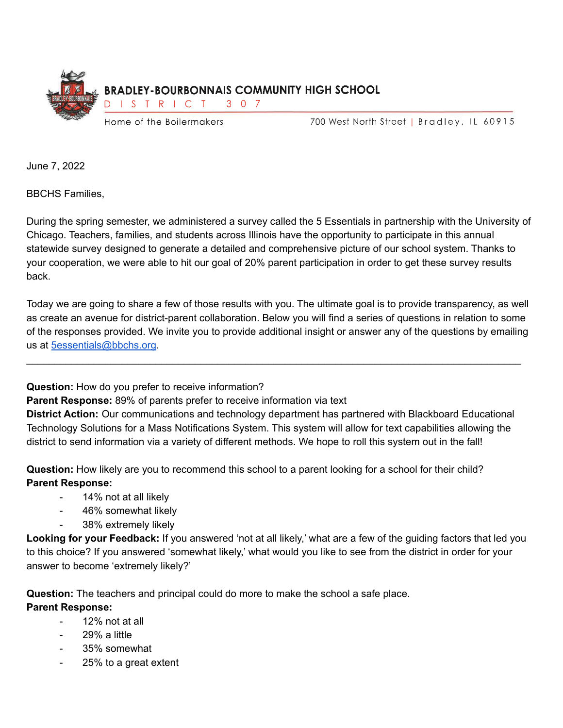

700 West North Street | Bradley, IL 60915

June 7, 2022

BBCHS Families,

During the spring semester, we administered a survey called the 5 Essentials in partnership with the University of Chicago. Teachers, families, and students across Illinois have the opportunity to participate in this annual statewide survey designed to generate a detailed and comprehensive picture of our school system. Thanks to your cooperation, we were able to hit our goal of 20% parent participation in order to get these survey results back.

Today we are going to share a few of those results with you. The ultimate goal is to provide transparency, as well as create an avenue for district-parent collaboration. Below you will find a series of questions in relation to some of the responses provided. We invite you to provide additional insight or answer any of the questions by emailing us at [5essentials@bbchs.org](mailto:5essentials@bbchs.org).

\_\_\_\_\_\_\_\_\_\_\_\_\_\_\_\_\_\_\_\_\_\_\_\_\_\_\_\_\_\_\_\_\_\_\_\_\_\_\_\_\_\_\_\_\_\_\_\_\_\_\_\_\_\_\_\_\_\_\_\_\_\_\_\_\_\_\_\_\_\_\_\_\_\_\_\_\_\_\_\_\_\_\_\_\_\_\_\_

**Question:** How do you prefer to receive information?

**Parent Response:** 89% of parents prefer to receive information via text

**District Action:** Our communications and technology department has partnered with Blackboard Educational Technology Solutions for a Mass Notifications System. This system will allow for text capabilities allowing the district to send information via a variety of different methods. We hope to roll this system out in the fall!

**Question:** How likely are you to recommend this school to a parent looking for a school for their child? **Parent Response:**

- 14% not at all likely
- 46% somewhat likely
- 38% extremely likely

**Looking for your Feedback:** If you answered 'not at all likely,' what are a few of the guiding factors that led you to this choice? If you answered 'somewhat likely,' what would you like to see from the district in order for your answer to become 'extremely likely?'

**Question:** The teachers and principal could do more to make the school a safe place. **Parent Response:**

- 12% not at all
- 29% a little
- 35% somewhat
- 25% to a great extent